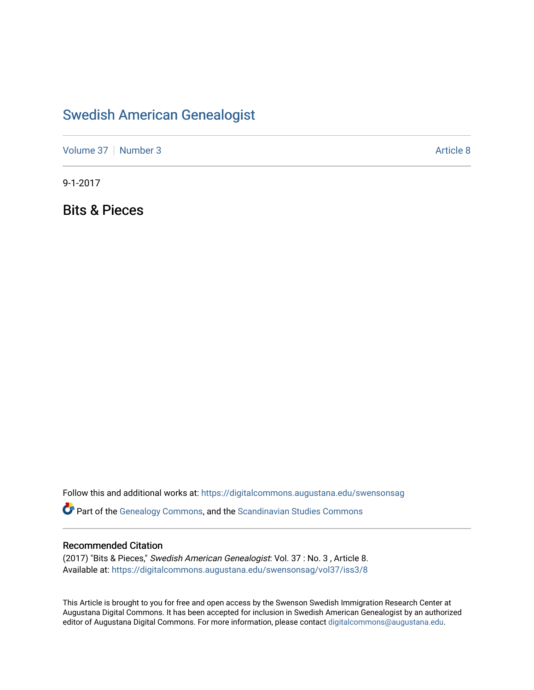# [Swedish American Genealogist](https://digitalcommons.augustana.edu/swensonsag)

[Volume 37](https://digitalcommons.augustana.edu/swensonsag/vol37) | [Number 3](https://digitalcommons.augustana.edu/swensonsag/vol37/iss3) Article 8

9-1-2017

Bits & Pieces

Follow this and additional works at: [https://digitalcommons.augustana.edu/swensonsag](https://digitalcommons.augustana.edu/swensonsag?utm_source=digitalcommons.augustana.edu%2Fswensonsag%2Fvol37%2Fiss3%2F8&utm_medium=PDF&utm_campaign=PDFCoverPages) 

**C** Part of the [Genealogy Commons,](http://network.bepress.com/hgg/discipline/1342?utm_source=digitalcommons.augustana.edu%2Fswensonsag%2Fvol37%2Fiss3%2F8&utm_medium=PDF&utm_campaign=PDFCoverPages) and the [Scandinavian Studies Commons](http://network.bepress.com/hgg/discipline/485?utm_source=digitalcommons.augustana.edu%2Fswensonsag%2Fvol37%2Fiss3%2F8&utm_medium=PDF&utm_campaign=PDFCoverPages)

#### Recommended Citation

(2017) "Bits & Pieces," Swedish American Genealogist: Vol. 37 : No. 3 , Article 8. Available at: [https://digitalcommons.augustana.edu/swensonsag/vol37/iss3/8](https://digitalcommons.augustana.edu/swensonsag/vol37/iss3/8?utm_source=digitalcommons.augustana.edu%2Fswensonsag%2Fvol37%2Fiss3%2F8&utm_medium=PDF&utm_campaign=PDFCoverPages) 

This Article is brought to you for free and open access by the Swenson Swedish Immigration Research Center at Augustana Digital Commons. It has been accepted for inclusion in Swedish American Genealogist by an authorized editor of Augustana Digital Commons. For more information, please contact [digitalcommons@augustana.edu.](mailto:digitalcommons@augustana.edu)